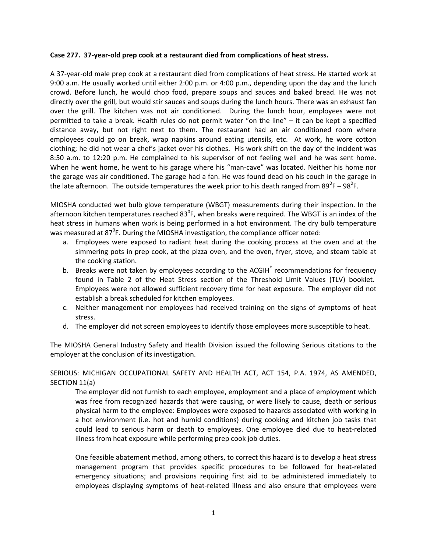## **Case 277. 37‐year‐old prep cook at a restaurant died from complications of heat stress.**

A 37‐year‐old male prep cook at a restaurant died from complications of heat stress. He started work at 9:00 a.m. He usually worked until either 2:00 p.m. or 4:00 p.m., depending upon the day and the lunch crowd. Before lunch, he would chop food, prepare soups and sauces and baked bread. He was not directly over the grill, but would stir sauces and soups during the lunch hours. There was an exhaust fan over the grill. The kitchen was not air conditioned. During the lunch hour, employees were not permitted to take a break. Health rules do not permit water "on the line" – it can be kept a specified distance away, but not right next to them. The restaurant had an air conditioned room where employees could go on break, wrap napkins around eating utensils, etc. At work, he wore cotton clothing; he did not wear a chef's jacket over his clothes. His work shift on the day of the incident was 8:50 a.m. to 12:20 p.m. He complained to his supervisor of not feeling well and he was sent home. When he went home, he went to his garage where his "man‐cave" was located. Neither his home nor the garage was air conditioned. The garage had a fan. He was found dead on his couch in the garage in the late afternoon. The outside temperatures the week prior to his death ranged from 89<sup>0</sup>F – 98<sup>0</sup>F.

MIOSHA conducted wet bulb glove temperature (WBGT) measurements during their inspection. In the afternoon kitchen temperatures reached 83<sup>0</sup>F, when breaks were required. The WBGT is an index of the heat stress in humans when work is being performed in a hot environment. The dry bulb temperature was measured at 87 $^0$ F. During the MIOSHA investigation, the compliance officer noted:

- a. Employees were exposed to radiant heat during the cooking process at the oven and at the simmering pots in prep cook, at the pizza oven, and the oven, fryer, stove, and steam table at the cooking station.
- b. Breaks were not taken by employees according to the ACGIH® recommendations for frequency found in Table 2 of the Heat Stress section of the Threshold Limit Values (TLV) booklet. Employees were not allowed sufficient recovery time for heat exposure. The employer did not establish a break scheduled for kitchen employees.
- c. Neither management nor employees had received training on the signs of symptoms of heat stress.
- d. The employer did not screen employees to identify those employees more susceptible to heat.

The MIOSHA General Industry Safety and Health Division issued the following Serious citations to the employer at the conclusion of its investigation.

SERIOUS: MICHIGAN OCCUPATIONAL SAFETY AND HEALTH ACT, ACT 154, P.A. 1974, AS AMENDED, SECTION 11(a)

The employer did not furnish to each employee, employment and a place of employment which was free from recognized hazards that were causing, or were likely to cause, death or serious physical harm to the employee: Employees were exposed to hazards associated with working in a hot environment (i.e. hot and humid conditions) during cooking and kitchen job tasks that could lead to serious harm or death to employees. One employee died due to heat‐related illness from heat exposure while performing prep cook job duties.

One feasible abatement method, among others, to correct this hazard is to develop a heat stress management program that provides specific procedures to be followed for heat‐related emergency situations; and provisions requiring first aid to be administered immediately to employees displaying symptoms of heat-related illness and also ensure that employees were